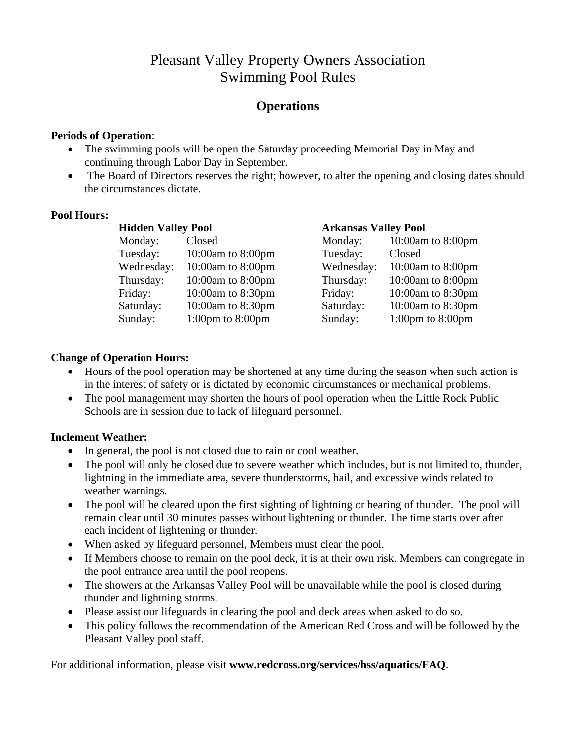# Pleasant Valley Property Owners Association Swimming Pool Rules

## **Operations**

#### **Periods of Operation**:

- The swimming pools will be open the Saturday proceeding Memorial Day in May and continuing through Labor Day in September.
- The Board of Directors reserves the right; however, to alter the opening and closing dates should the circumstances dictate.

## **Pool Hours:**

|  |                                                                                   | <b>Arkansas Valley Pool</b>                                                                                                                                                                      |                                      |
|--|-----------------------------------------------------------------------------------|--------------------------------------------------------------------------------------------------------------------------------------------------------------------------------------------------|--------------------------------------|
|  |                                                                                   |                                                                                                                                                                                                  | 10:00am to $8:00$ pm                 |
|  |                                                                                   | Tuesday:                                                                                                                                                                                         | Closed                               |
|  |                                                                                   | Wednesday:                                                                                                                                                                                       | 10:00am to $8:00$ pm                 |
|  |                                                                                   | Thursday:                                                                                                                                                                                        | 10:00am to $8:00$ pm                 |
|  |                                                                                   | Friday:                                                                                                                                                                                          | 10:00am to 8:30pm                    |
|  |                                                                                   | Saturday:                                                                                                                                                                                        | 10:00am to $8:30$ pm                 |
|  |                                                                                   | Sunday:                                                                                                                                                                                          | $1:00 \text{pm}$ to $8:00 \text{pm}$ |
|  | Monday:<br>Tuesday:<br>Wednesday:<br>Thursday:<br>Friday:<br>Saturday:<br>Sunday: | <b>Hidden Valley Pool</b><br>Closed<br>10:00am to $8:00$ pm<br>10:00am to $8:00$ pm<br>10:00am to $8:00$ pm<br>10:00am to 8:30pm<br>10:00am to $8:30$ pm<br>$1:00 \text{pm}$ to $8:00 \text{pm}$ | Monday:                              |

## **Change of Operation Hours:**

- Hours of the pool operation may be shortened at any time during the season when such action is in the interest of safety or is dictated by economic circumstances or mechanical problems.
- The pool management may shorten the hours of pool operation when the Little Rock Public Schools are in session due to lack of lifeguard personnel.

## **Inclement Weather:**

- In general, the pool is not closed due to rain or cool weather.
- The pool will only be closed due to severe weather which includes, but is not limited to, thunder, lightning in the immediate area, severe thunderstorms, hail, and excessive winds related to weather warnings.
- The pool will be cleared upon the first sighting of lightning or hearing of thunder. The pool will remain clear until 30 minutes passes without lightening or thunder. The time starts over after each incident of lightening or thunder.
- When asked by lifeguard personnel, Members must clear the pool.
- If Members choose to remain on the pool deck, it is at their own risk. Members can congregate in the pool entrance area until the pool reopens.
- The showers at the Arkansas Valley Pool will be unavailable while the pool is closed during thunder and lightning storms.
- Please assist our lifeguards in clearing the pool and deck areas when asked to do so.
- This policy follows the recommendation of the American Red Cross and will be followed by the Pleasant Valley pool staff.

For additional information, please visit **www.redcross.org/services/hss/aquatics/FAQ**.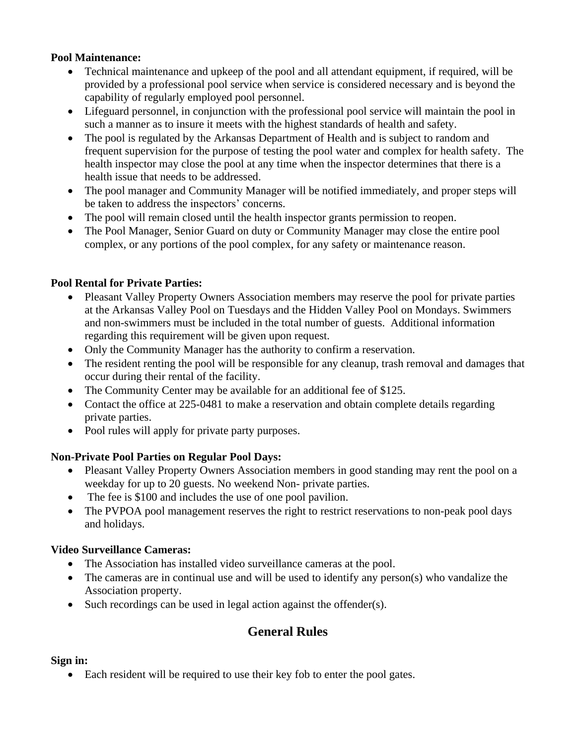## **Pool Maintenance:**

- Technical maintenance and upkeep of the pool and all attendant equipment, if required, will be provided by a professional pool service when service is considered necessary and is beyond the capability of regularly employed pool personnel.
- Lifeguard personnel, in conjunction with the professional pool service will maintain the pool in such a manner as to insure it meets with the highest standards of health and safety.
- The pool is regulated by the Arkansas Department of Health and is subject to random and frequent supervision for the purpose of testing the pool water and complex for health safety. The health inspector may close the pool at any time when the inspector determines that there is a health issue that needs to be addressed.
- The pool manager and Community Manager will be notified immediately, and proper steps will be taken to address the inspectors' concerns.
- The pool will remain closed until the health inspector grants permission to reopen.
- The Pool Manager, Senior Guard on duty or Community Manager may close the entire pool complex, or any portions of the pool complex, for any safety or maintenance reason.

## **Pool Rental for Private Parties:**

- Pleasant Valley Property Owners Association members may reserve the pool for private parties at the Arkansas Valley Pool on Tuesdays and the Hidden Valley Pool on Mondays. Swimmers and non-swimmers must be included in the total number of guests. Additional information regarding this requirement will be given upon request.
- Only the Community Manager has the authority to confirm a reservation.
- The resident renting the pool will be responsible for any cleanup, trash removal and damages that occur during their rental of the facility.
- The Community Center may be available for an additional fee of \$125.
- Contact the office at 225-0481 to make a reservation and obtain complete details regarding private parties.
- Pool rules will apply for private party purposes.

## **Non-Private Pool Parties on Regular Pool Days:**

- Pleasant Valley Property Owners Association members in good standing may rent the pool on a weekday for up to 20 guests. No weekend Non- private parties.
- The fee is \$100 and includes the use of one pool pavilion.
- The PVPOA pool management reserves the right to restrict reservations to non-peak pool days and holidays.

## **Video Surveillance Cameras:**

- The Association has installed video surveillance cameras at the pool.
- The cameras are in continual use and will be used to identify any person(s) who vandalize the Association property.
- Such recordings can be used in legal action against the offender(s).

## **General Rules**

## **Sign in:**

• Each resident will be required to use their key fob to enter the pool gates.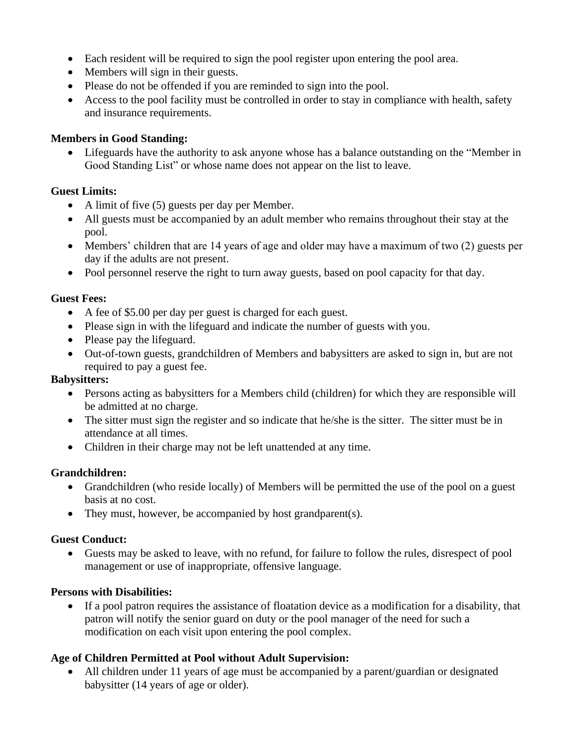- Each resident will be required to sign the pool register upon entering the pool area.
- Members will sign in their guests.
- Please do not be offended if you are reminded to sign into the pool.
- Access to the pool facility must be controlled in order to stay in compliance with health, safety and insurance requirements.

## **Members in Good Standing:**

• Lifeguards have the authority to ask anyone whose has a balance outstanding on the "Member in Good Standing List" or whose name does not appear on the list to leave.

## **Guest Limits:**

- A limit of five (5) guests per day per Member.
- All guests must be accompanied by an adult member who remains throughout their stay at the pool.
- Members' children that are 14 years of age and older may have a maximum of two (2) guests per day if the adults are not present.
- Pool personnel reserve the right to turn away guests, based on pool capacity for that day.

## **Guest Fees:**

- A fee of \$5.00 per day per guest is charged for each guest.
- Please sign in with the lifeguard and indicate the number of guests with you.
- Please pay the lifeguard.
- Out-of-town guests, grandchildren of Members and babysitters are asked to sign in, but are not required to pay a guest fee.

## **Babysitters:**

- Persons acting as babysitters for a Members child (children) for which they are responsible will be admitted at no charge.
- The sitter must sign the register and so indicate that he/she is the sitter. The sitter must be in attendance at all times.
- Children in their charge may not be left unattended at any time.

## **Grandchildren:**

- Grandchildren (who reside locally) of Members will be permitted the use of the pool on a guest basis at no cost.
- They must, however, be accompanied by host grandparent(s).

## **Guest Conduct:**

• Guests may be asked to leave, with no refund, for failure to follow the rules, disrespect of pool management or use of inappropriate, offensive language.

## **Persons with Disabilities:**

• If a pool patron requires the assistance of floatation device as a modification for a disability, that patron will notify the senior guard on duty or the pool manager of the need for such a modification on each visit upon entering the pool complex.

## **Age of Children Permitted at Pool without Adult Supervision:**

• All children under 11 years of age must be accompanied by a parent/guardian or designated babysitter (14 years of age or older).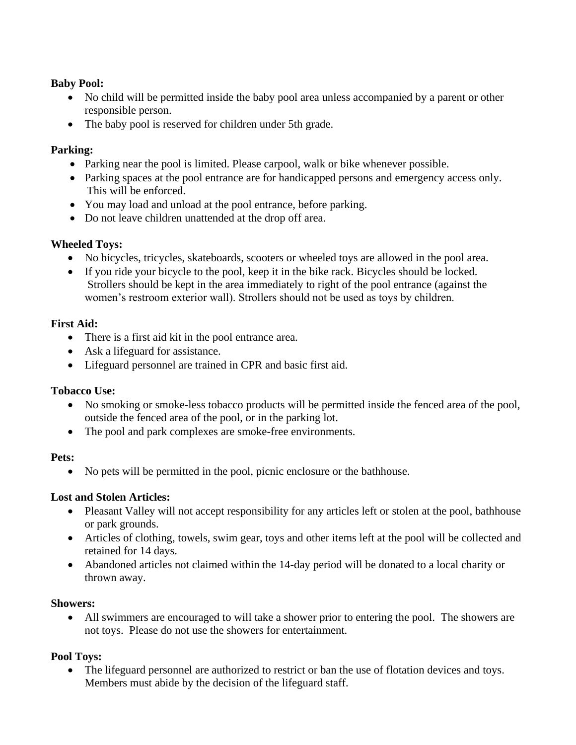## **Baby Pool:**

- No child will be permitted inside the baby pool area unless accompanied by a parent or other responsible person.
- The baby pool is reserved for children under 5th grade.

## **Parking:**

- Parking near the pool is limited. Please carpool, walk or bike whenever possible.
- Parking spaces at the pool entrance are for handicapped persons and emergency access only. This will be enforced.
- You may load and unload at the pool entrance, before parking.
- Do not leave children unattended at the drop off area.

## **Wheeled Toys:**

- No bicycles, tricycles, skateboards, scooters or wheeled toys are allowed in the pool area.
- If you ride your bicycle to the pool, keep it in the bike rack. Bicycles should be locked. Strollers should be kept in the area immediately to right of the pool entrance (against the women's restroom exterior wall). Strollers should not be used as toys by children.

## **First Aid:**

- There is a first aid kit in the pool entrance area.
- Ask a lifeguard for assistance.
- Lifeguard personnel are trained in CPR and basic first aid.

## **Tobacco Use:**

- No smoking or smoke-less tobacco products will be permitted inside the fenced area of the pool, outside the fenced area of the pool, or in the parking lot.
- The pool and park complexes are smoke-free environments.

## **Pets:**

• No pets will be permitted in the pool, picnic enclosure or the bathhouse.

## **Lost and Stolen Articles:**

- Pleasant Valley will not accept responsibility for any articles left or stolen at the pool, bathhouse or park grounds.
- Articles of clothing, towels, swim gear, toys and other items left at the pool will be collected and retained for 14 days.
- Abandoned articles not claimed within the 14-day period will be donated to a local charity or thrown away.

## **Showers:**

• All swimmers are encouraged to will take a shower prior to entering the pool. The showers are not toys. Please do not use the showers for entertainment.

## **Pool Toys:**

• The lifeguard personnel are authorized to restrict or ban the use of flotation devices and toys. Members must abide by the decision of the lifeguard staff.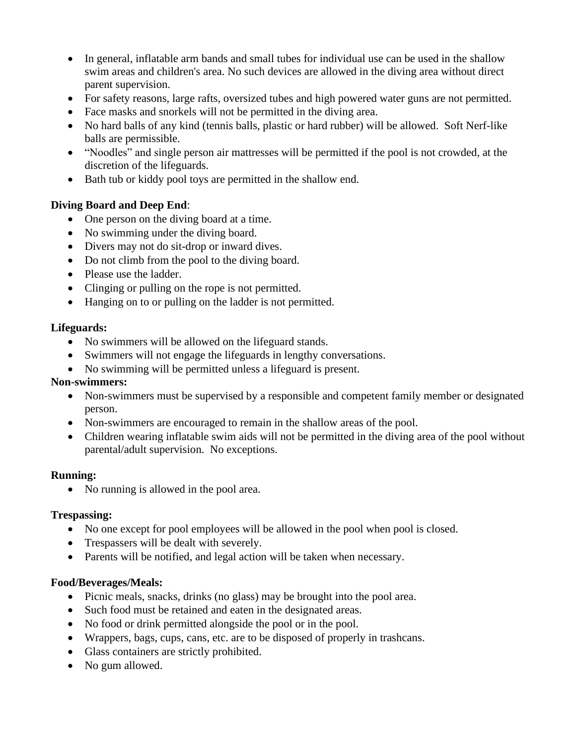- In general, inflatable arm bands and small tubes for individual use can be used in the shallow swim areas and children's area. No such devices are allowed in the diving area without direct parent supervision.
- For safety reasons, large rafts, oversized tubes and high powered water guns are not permitted.
- Face masks and snorkels will not be permitted in the diving area.
- No hard balls of any kind (tennis balls, plastic or hard rubber) will be allowed. Soft Nerf-like balls are permissible.
- "Noodles" and single person air mattresses will be permitted if the pool is not crowded, at the discretion of the lifeguards.
- Bath tub or kiddy pool toys are permitted in the shallow end.

#### **Diving Board and Deep End**:

- One person on the diving board at a time.
- No swimming under the diving board.
- Divers may not do sit-drop or inward dives.
- Do not climb from the pool to the diving board.
- Please use the ladder.
- Clinging or pulling on the rope is not permitted.
- Hanging on to or pulling on the ladder is not permitted.

#### **Lifeguards:**

- No swimmers will be allowed on the lifeguard stands.
- Swimmers will not engage the lifeguards in lengthy conversations.
- No swimming will be permitted unless a lifeguard is present.

#### **Non-swimmers:**

- Non-swimmers must be supervised by a responsible and competent family member or designated person.
- Non-swimmers are encouraged to remain in the shallow areas of the pool.
- Children wearing inflatable swim aids will not be permitted in the diving area of the pool without parental/adult supervision. No exceptions.

#### **Running:**

• No running is allowed in the pool area.

#### **Trespassing:**

- No one except for pool employees will be allowed in the pool when pool is closed.
- Trespassers will be dealt with severely.
- Parents will be notified, and legal action will be taken when necessary.

#### **Food/Beverages/Meals:**

- Picnic meals, snacks, drinks (no glass) may be brought into the pool area.
- Such food must be retained and eaten in the designated areas.
- No food or drink permitted alongside the pool or in the pool.
- Wrappers, bags, cups, cans, etc. are to be disposed of properly in trashcans.
- Glass containers are strictly prohibited.
- No gum allowed.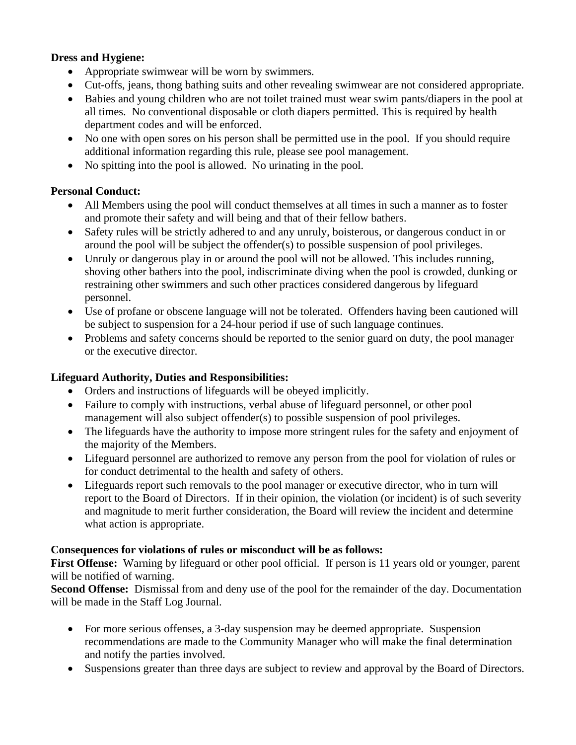## **Dress and Hygiene:**

- Appropriate swimwear will be worn by swimmers.
- Cut-offs, jeans, thong bathing suits and other revealing swimwear are not considered appropriate.
- Babies and young children who are not toilet trained must wear swim pants/diapers in the pool at all times. No conventional disposable or cloth diapers permitted. This is required by health department codes and will be enforced.
- No one with open sores on his person shall be permitted use in the pool. If you should require additional information regarding this rule, please see pool management.
- No spitting into the pool is allowed. No urinating in the pool.

## **Personal Conduct:**

- All Members using the pool will conduct themselves at all times in such a manner as to foster and promote their safety and will being and that of their fellow bathers.
- Safety rules will be strictly adhered to and any unruly, boisterous, or dangerous conduct in or around the pool will be subject the offender(s) to possible suspension of pool privileges.
- Unruly or dangerous play in or around the pool will not be allowed. This includes running, shoving other bathers into the pool, indiscriminate diving when the pool is crowded, dunking or restraining other swimmers and such other practices considered dangerous by lifeguard personnel.
- Use of profane or obscene language will not be tolerated. Offenders having been cautioned will be subject to suspension for a 24-hour period if use of such language continues.
- Problems and safety concerns should be reported to the senior guard on duty, the pool manager or the executive director.

## **Lifeguard Authority, Duties and Responsibilities:**

- Orders and instructions of lifeguards will be obeyed implicitly.
- Failure to comply with instructions, verbal abuse of lifeguard personnel, or other pool management will also subject offender(s) to possible suspension of pool privileges.
- The lifeguards have the authority to impose more stringent rules for the safety and enjoyment of the majority of the Members.
- Lifeguard personnel are authorized to remove any person from the pool for violation of rules or for conduct detrimental to the health and safety of others.
- Lifeguards report such removals to the pool manager or executive director, who in turn will report to the Board of Directors. If in their opinion, the violation (or incident) is of such severity and magnitude to merit further consideration, the Board will review the incident and determine what action is appropriate.

## **Consequences for violations of rules or misconduct will be as follows:**

**First Offense:** Warning by lifeguard or other pool official. If person is 11 years old or younger, parent will be notified of warning.

**Second Offense:** Dismissal from and deny use of the pool for the remainder of the day. Documentation will be made in the Staff Log Journal.

- For more serious offenses, a 3-day suspension may be deemed appropriate. Suspension recommendations are made to the Community Manager who will make the final determination and notify the parties involved.
- Suspensions greater than three days are subject to review and approval by the Board of Directors.